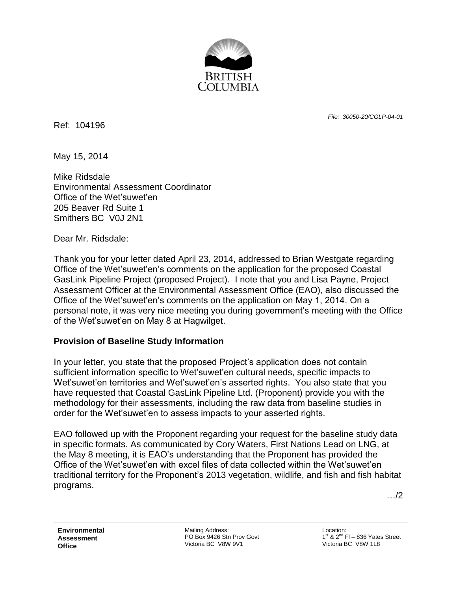

Ref: 104196

*File: 30050-20/CGLP-04-01*

May 15, 2014

Mike Ridsdale Environmental Assessment Coordinator Office of the Wet'suwet'en 205 Beaver Rd Suite 1 Smithers BC V0J 2N1

Dear Mr. Ridsdale:

Thank you for your letter dated April 23, 2014, addressed to Brian Westgate regarding Office of the Wet'suwet'en's comments on the application for the proposed Coastal GasLink Pipeline Project (proposed Project). I note that you and Lisa Payne, Project Assessment Officer at the Environmental Assessment Office (EAO), also discussed the Office of the Wet'suwet'en's comments on the application on May 1, 2014. On a personal note, it was very nice meeting you during government's meeting with the Office of the Wet'suwet'en on May 8 at Hagwilget.

## **Provision of Baseline Study Information**

In your letter, you state that the proposed Project's application does not contain sufficient information specific to Wet'suwet'en cultural needs, specific impacts to Wet'suwet'en territories and Wet'suwet'en's asserted rights. You also state that you have requested that Coastal GasLink Pipeline Ltd. (Proponent) provide you with the methodology for their assessments, including the raw data from baseline studies in order for the Wet'suwet'en to assess impacts to your asserted rights.

EAO followed up with the Proponent regarding your request for the baseline study data in specific formats. As communicated by Cory Waters, First Nations Lead on LNG, at the May 8 meeting, it is EAO's understanding that the Proponent has provided the Office of the Wet'suwet'en with excel files of data collected within the Wet'suwet'en traditional territory for the Proponent's 2013 vegetation, wildlife, and fish and fish habitat programs.

…/2

**Environmental Assessment Office**

Mailing Address: PO Box 9426 Stn Prov Govt Victoria BC V8W 9V1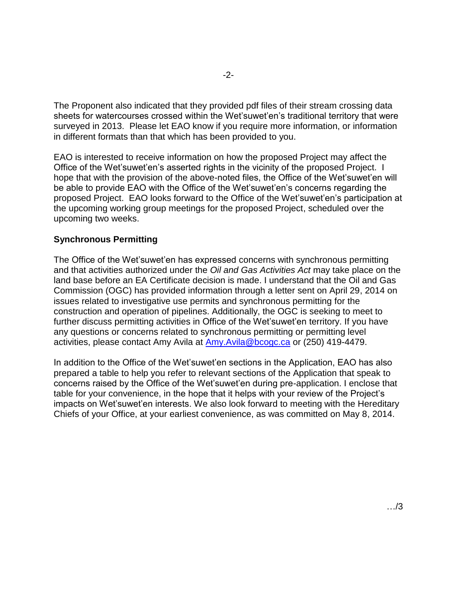The Proponent also indicated that they provided pdf files of their stream crossing data sheets for watercourses crossed within the Wet'suwet'en's traditional territory that were surveyed in 2013. Please let EAO know if you require more information, or information in different formats than that which has been provided to you.

EAO is interested to receive information on how the proposed Project may affect the Office of the Wet'suwet'en's asserted rights in the vicinity of the proposed Project. I hope that with the provision of the above-noted files, the Office of the Wet'suwet'en will be able to provide EAO with the Office of the Wet'suwet'en's concerns regarding the proposed Project. EAO looks forward to the Office of the Wet'suwet'en's participation at the upcoming working group meetings for the proposed Project, scheduled over the upcoming two weeks.

## **Synchronous Permitting**

The Office of the Wet'suwet'en has expressed concerns with synchronous permitting and that activities authorized under the *Oil and Gas Activities Act* may take place on the land base before an EA Certificate decision is made. I understand that the Oil and Gas Commission (OGC) has provided information through a letter sent on April 29, 2014 on issues related to investigative use permits and synchronous permitting for the construction and operation of pipelines. Additionally, the OGC is seeking to meet to further discuss permitting activities in Office of the Wet'suwet'en territory. If you have any questions or concerns related to synchronous permitting or permitting level activities, please contact Amy Avila at [Amy.Avila@bcogc.ca](mailto:Amy.Avila@bcogc.ca) or (250) 419-4479.

In addition to the Office of the Wet'suwet'en sections in the Application, EAO has also prepared a table to help you refer to relevant sections of the Application that speak to concerns raised by the Office of the Wet'suwet'en during pre-application. I enclose that table for your convenience, in the hope that it helps with your review of the Project's impacts on Wet'suwet'en interests. We also look forward to meeting with the Hereditary Chiefs of your Office, at your earliest convenience, as was committed on May 8, 2014.